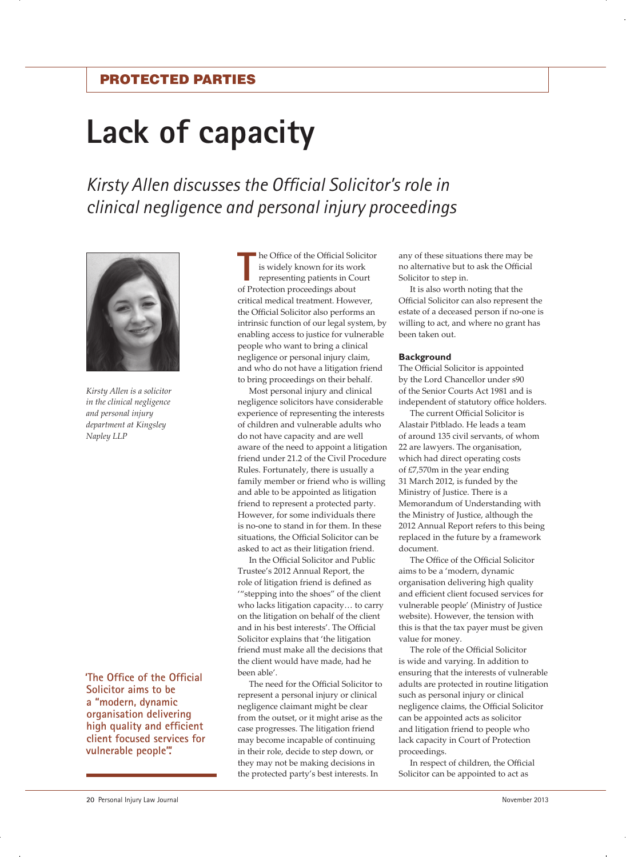# Protected parties

# **Lack of capacity**

*Kirsty Allen discusses the Official Solicitor's role in clinical negligence and personal injury proceedings* 



*Kirsty Allen is a solicitor in the clinical negligence and personal injury department at Kingsley Napley LLP*

**'The Office of the Official Solicitor aims to be a "modern, dynamic organisation delivering high quality and efficient client focused services for vulnerable people".'**

**The Office of the Official Solution**<br>
is widely known for its wo<br>
representing patients in Co<br>
of Protection proceedings about he Office of the Official Solicitor is widely known for its work representing patients in Court critical medical treatment. However, the Official Solicitor also performs an intrinsic function of our legal system, by enabling access to justice for vulnerable people who want to bring a clinical negligence or personal injury claim, and who do not have a litigation friend to bring proceedings on their behalf.

Most personal injury and clinical negligence solicitors have considerable experience of representing the interests of children and vulnerable adults who do not have capacity and are well aware of the need to appoint a litigation friend under 21.2 of the Civil Procedure Rules. Fortunately, there is usually a family member or friend who is willing and able to be appointed as litigation friend to represent a protected party. However, for some individuals there is no-one to stand in for them. In these situations, the Official Solicitor can be asked to act as their litigation friend.

In the Official Solicitor and Public Trustee's 2012 Annual Report, the role of litigation friend is defined as '"stepping into the shoes" of the client who lacks litigation capacity… to carry on the litigation on behalf of the client and in his best interests'. The Official Solicitor explains that 'the litigation friend must make all the decisions that the client would have made, had he been able'.

The need for the Official Solicitor to represent a personal injury or clinical negligence claimant might be clear from the outset, or it might arise as the case progresses. The litigation friend may become incapable of continuing in their role, decide to step down, or they may not be making decisions in the protected party's best interests. In

any of these situations there may be no alternative but to ask the Official Solicitor to step in.

It is also worth noting that the Official Solicitor can also represent the estate of a deceased person if no-one is willing to act, and where no grant has been taken out.

# **Background**

The Official Solicitor is appointed by the Lord Chancellor under s90 of the Senior Courts Act 1981 and is independent of statutory office holders.

The current Official Solicitor is Alastair Pitblado. He leads a team of around 135 civil servants, of whom 22 are lawyers. The organisation, which had direct operating costs of £7,570m in the year ending 31 March 2012, is funded by the Ministry of Justice. There is a Memorandum of Understanding with the Ministry of Justice, although the 2012 Annual Report refers to this being replaced in the future by a framework document.

The Office of the Official Solicitor aims to be a 'modern, dynamic organisation delivering high quality and efficient client focused services for vulnerable people' (Ministry of Justice website). However, the tension with this is that the tax payer must be given value for money.

The role of the Official Solicitor is wide and varying. In addition to ensuring that the interests of vulnerable adults are protected in routine litigation such as personal injury or clinical negligence claims, the Official Solicitor can be appointed acts as solicitor and litigation friend to people who lack capacity in Court of Protection proceedings.

In respect of children, the Official Solicitor can be appointed to act as